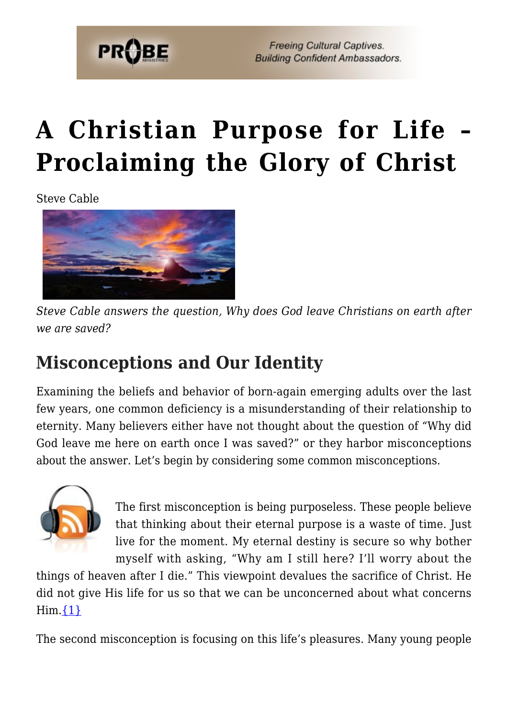

# **[A Christian Purpose for Life –](https://probe.org/a-christian-purpose-for-life-proclaiming-the-glory-of-christ/) [Proclaiming the Glory of Christ](https://probe.org/a-christian-purpose-for-life-proclaiming-the-glory-of-christ/)**

Steve Cable



*Steve Cable answers the question, Why does God leave Christians on earth after we are saved?*

# **Misconceptions and Our Identity**

Examining the beliefs and behavior of born-again emerging adults over the last few years, one common deficiency is a misunderstanding of their relationship to eternity. Many believers either have not thought about the question of "Why did God leave me here on earth once I was saved?" or they harbor misconceptions about the answer. Let's begin by considering some common misconceptions.



The first misconception is being purposeless. These people believe that thinking about their eternal purpose is a waste of time. Just live for the moment. My eternal destiny is secure so why bother myself with asking, "Why am I still here? I'll worry about the

things of heaven after I die." This viewpoint devalues the sacrifice of Christ. He did not give His life for us so that we can be unconcerned about what concerns  $\text{Him.} \{1\}$ 

The second misconception is focusing on this life's pleasures. Many young people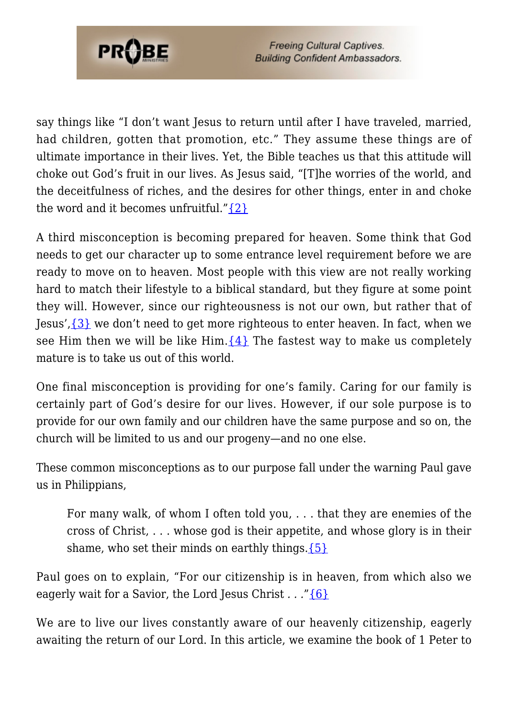

say things like "I don't want Jesus to return until after I have traveled, married, had children, gotten that promotion, etc." They assume these things are of ultimate importance in their lives. Yet, the Bible teaches us that this attitude will choke out God's fruit in our lives. As Jesus said, "[T]he worries of the world, and the deceitfulness of riches, and the desires for other things, enter in and choke the word and it becomes unfruitful." $\{2\}$ 

A third misconception is becoming prepared for heaven. Some think that God needs to get our character up to some entrance level requirement before we are ready to move on to heaven. Most people with this view are not really working hard to match their lifestyle to a biblical standard, but they figure at some point they will. However, since our righteousness is not our own, but rather that of Jesus', $\{3\}$  we don't need to get more righteous to enter heaven. In fact, when we see Him then we will be like Him. ${4}$  The fastest way to make us completely mature is to take us out of this world.

One final misconception is providing for one's family. Caring for our family is certainly part of God's desire for our lives. However, if our sole purpose is to provide for our own family and our children have the same purpose and so on, the church will be limited to us and our progeny—and no one else.

These common misconceptions as to our purpose fall under the warning Paul gave us in Philippians,

For many walk, of whom I often told you, . . . that they are enemies of the cross of Christ, . . . whose god is their appetite, and whose glory is in their shame, who set their minds on earthly things.  $\{5\}$ 

Paul goes on to explain, "For our citizenship is in heaven, from which also we eagerly wait for a Savior, the Lord Jesus Christ *. . .*["{6}](#page-8-0)

We are to live our lives constantly aware of our heavenly citizenship, eagerly awaiting the return of our Lord. In this article, we examine the book of 1 Peter to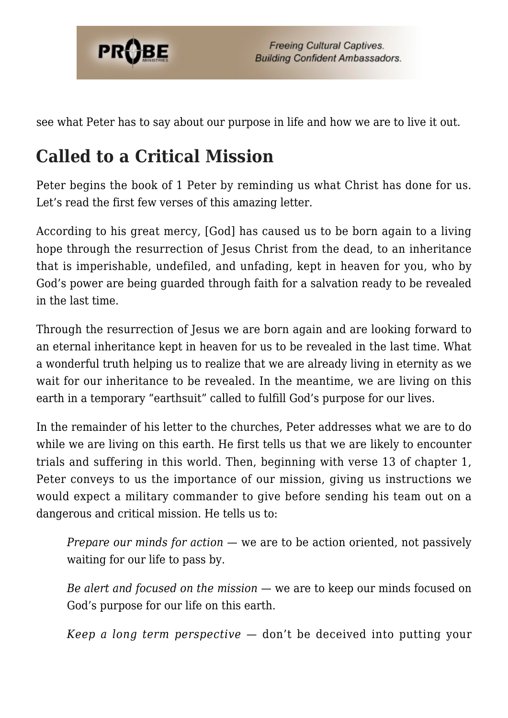

see what Peter has to say about our purpose in life and how we are to live it out.

# **Called to a Critical Mission**

Peter begins the book of 1 Peter by reminding us what Christ has done for us. Let's read the first few verses of this amazing letter.

According to his great mercy, [God] has caused us to be born again to a living hope through the resurrection of Jesus Christ from the dead, to an inheritance that is imperishable, undefiled, and unfading, kept in heaven for you, who by God's power are being guarded through faith for a salvation ready to be revealed in the last time.

Through the resurrection of Jesus we are born again and are looking forward to an eternal inheritance kept in heaven for us to be revealed in the last time. What a wonderful truth helping us to realize that we are already living in eternity as we wait for our inheritance to be revealed. In the meantime, we are living on this earth in a temporary "earthsuit" called to fulfill God's purpose for our lives.

In the remainder of his letter to the churches, Peter addresses what we are to do while we are living on this earth. He first tells us that we are likely to encounter trials and suffering in this world. Then, beginning with verse 13 of chapter 1, Peter conveys to us the importance of our mission, giving us instructions we would expect a military commander to give before sending his team out on a dangerous and critical mission. He tells us to:

*Prepare our minds for action —* we are to be action oriented, not passively waiting for our life to pass by.

*Be alert and focused on the mission* — we are to keep our minds focused on God's purpose for our life on this earth.

*Keep a long term perspective* — don't be deceived into putting your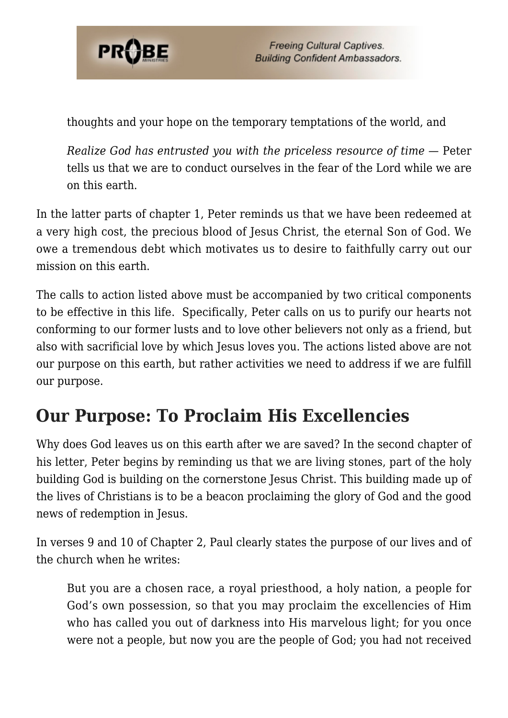

thoughts and your hope on the temporary temptations of the world, and

*Realize God has entrusted you with the priceless resource of time* — Peter tells us that we are to conduct ourselves in the fear of the Lord while we are on this earth.

In the latter parts of chapter 1, Peter reminds us that we have been redeemed at a very high cost, the precious blood of Jesus Christ, the eternal Son of God. We owe a tremendous debt which motivates us to desire to faithfully carry out our mission on this earth.

The calls to action listed above must be accompanied by two critical components to be effective in this life. Specifically, Peter calls on us to purify our hearts not conforming to our former lusts and to love other believers not only as a friend, but also with sacrificial love by which Jesus loves you. The actions listed above are not our purpose on this earth, but rather activities we need to address if we are fulfill our purpose.

### **Our Purpose: To Proclaim His Excellencies**

Why does God leaves us on this earth after we are saved? In the second chapter of his letter, Peter begins by reminding us that we are living stones, part of the holy building God is building on the cornerstone Jesus Christ. This building made up of the lives of Christians is to be a beacon proclaiming the glory of God and the good news of redemption in Jesus.

In verses 9 and 10 of Chapter 2, Paul clearly states the purpose of our lives and of the church when he writes:

But you are a chosen race, a royal priesthood, a holy nation, a people for God's own possession, so that you may proclaim the excellencies of Him who has called you out of darkness into His marvelous light; for you once were not a people, but now you are the people of God; you had not received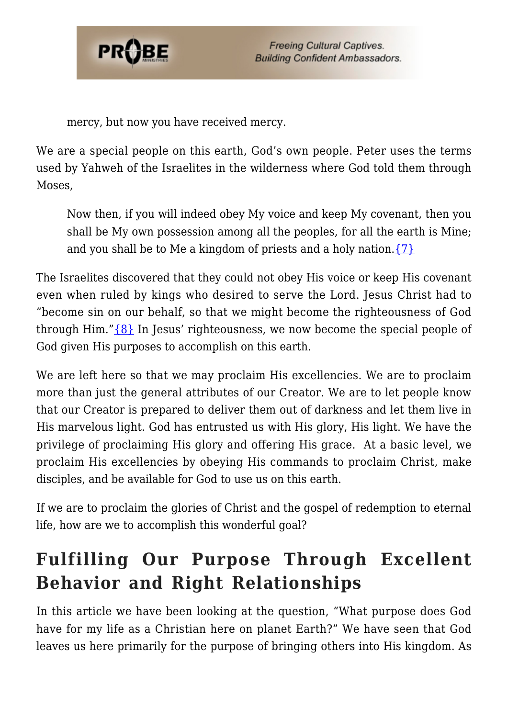

mercy, but now you have received mercy.

We are a special people on this earth, God's own people. Peter uses the terms used by Yahweh of the Israelites in the wilderness where God told them through Moses,

Now then, if you will indeed obey My voice and keep My covenant, then you shall be My own possession among all the peoples, for all the earth is Mine; and you shall be to Me a kingdom of priests and a holy nation. $\{7\}$ 

The Israelites discovered that they could not obey His voice or keep His covenant even when ruled by kings who desired to serve the Lord. Jesus Christ had to "become sin on our behalf, so that we might become the righteousness of God through Him." $\{8\}$  In Jesus' righteousness, we now become the special people of God given His purposes to accomplish on this earth.

We are left here so that we may proclaim His excellencies. We are to proclaim more than just the general attributes of our Creator. We are to let people know that our Creator is prepared to deliver them out of darkness and let them live in His marvelous light. God has entrusted us with His glory, His light. We have the privilege of proclaiming His glory and offering His grace. At a basic level, we proclaim His excellencies by obeying His commands to proclaim Christ, make disciples, and be available for God to use us on this earth.

If we are to proclaim the glories of Christ and the gospel of redemption to eternal life, how are we to accomplish this wonderful goal?

# **Fulfilling Our Purpose Through Excellent Behavior and Right Relationships**

In this article we have been looking at the question, "What purpose does God have for my life as a Christian here on planet Earth?" We have seen that God leaves us here primarily for the purpose of bringing others into His kingdom. As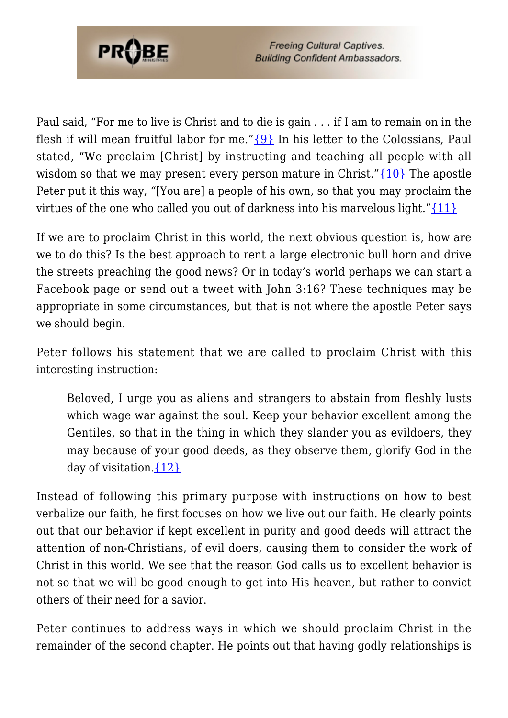

Paul said, "For me to live is Christ and to die is gain . . . if I am to remain on in the flesh if will mean fruitful labor for me." [{9}](#page-8-0) In his letter to the Colossians, Paul stated, "We proclaim [Christ] by instructing and teaching all people with all wisdom so that we may present every person mature in Christ." $\{10\}$  The apostle Peter put it this way, *"*[You are] a people of his own, so that you may proclaim the virtues of the one who called you out of darkness into his marvelous light." $\{11\}$ 

If we are to proclaim Christ in this world, the next obvious question is, how are we to do this? Is the best approach to rent a large electronic bull horn and drive the streets preaching the good news? Or in today's world perhaps we can start a Facebook page or send out a tweet with John 3:16? These techniques may be appropriate in some circumstances, but that is not where the apostle Peter says we should begin.

Peter follows his statement that we are called to proclaim Christ with this interesting instruction:

Beloved, I urge you as aliens and strangers to abstain from fleshly lusts which wage war against the soul. Keep your behavior excellent among the Gentiles, so that in the thing in which they slander you as evildoers, they may because of your good deeds, as they observe them, glorify God in the day of visitation.  $\{12\}$ 

Instead of following this primary purpose with instructions on how to best verbalize our faith, he first focuses on how we live out our faith. He clearly points out that our behavior if kept excellent in purity and good deeds will attract the attention of non-Christians, of evil doers, causing them to consider the work of Christ in this world. We see that the reason God calls us to excellent behavior is not so that we will be good enough to get into His heaven, but rather to convict others of their need for a savior.

Peter continues to address ways in which we should proclaim Christ in the remainder of the second chapter. He points out that having godly relationships is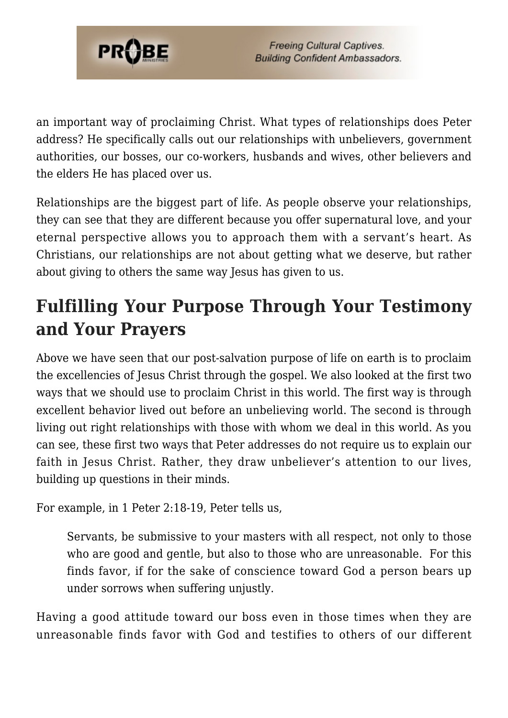

an important way of proclaiming Christ. What types of relationships does Peter address? He specifically calls out our relationships with unbelievers, government authorities, our bosses, our co-workers, husbands and wives, other believers and the elders He has placed over us.

Relationships are the biggest part of life. As people observe your relationships, they can see that they are different because you offer supernatural love, and your eternal perspective allows you to approach them with a servant's heart. As Christians, our relationships are not about getting what we deserve, but rather about giving to others the same way Jesus has given to us.

# **Fulfilling Your Purpose Through Your Testimony and Your Prayers**

Above we have seen that our post-salvation purpose of life on earth is to proclaim the excellencies of Jesus Christ through the gospel. We also looked at the first two ways that we should use to proclaim Christ in this world. The first way is through excellent behavior lived out before an unbelieving world. The second is through living out right relationships with those with whom we deal in this world. As you can see, these first two ways that Peter addresses do not require us to explain our faith in Jesus Christ. Rather, they draw unbeliever's attention to our lives, building up questions in their minds.

For example, in 1 Peter 2:18-19, Peter tells us,

Servants, be submissive to your masters with all respect, not only to those who are good and gentle, but also to those who are unreasonable. For this finds favor, if for the sake of conscience toward God a person bears up under sorrows when suffering unjustly.

Having a good attitude toward our boss even in those times when they are unreasonable finds favor with God and testifies to others of our different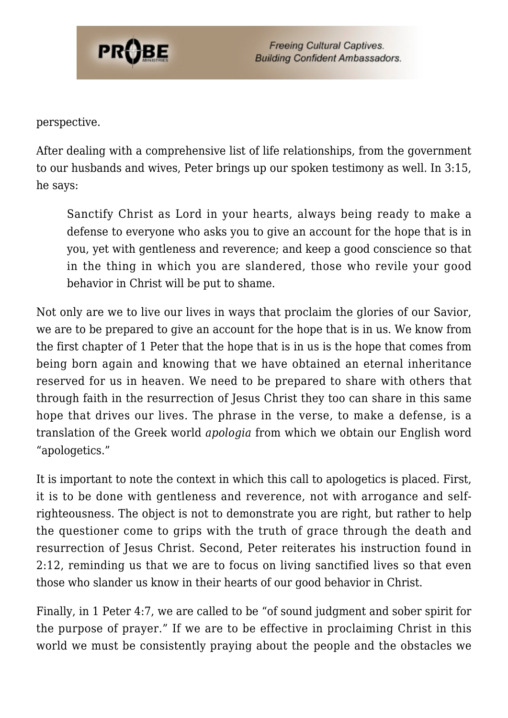

perspective.

After dealing with a comprehensive list of life relationships, from the government to our husbands and wives, Peter brings up our spoken testimony as well. In 3:15, he says:

Sanctify Christ as Lord in your hearts, always being ready to make a defense to everyone who asks you to give an account for the hope that is in you, yet with gentleness and reverence; and keep a good conscience so that in the thing in which you are slandered, those who revile your good behavior in Christ will be put to shame.

Not only are we to live our lives in ways that proclaim the glories of our Savior, we are to be prepared to give an account for the hope that is in us. We know from the first chapter of 1 Peter that the hope that is in us is the hope that comes from being born again and knowing that we have obtained an eternal inheritance reserved for us in heaven. We need to be prepared to share with others that through faith in the resurrection of Jesus Christ they too can share in this same hope that drives our lives. The phrase in the verse, to make a defense, is a translation of the Greek world *apologia* from which we obtain our English word "apologetics."

It is important to note the context in which this call to apologetics is placed. First, it is to be done with gentleness and reverence, not with arrogance and selfrighteousness. The object is not to demonstrate you are right, but rather to help the questioner come to grips with the truth of grace through the death and resurrection of Jesus Christ. Second, Peter reiterates his instruction found in 2:12, reminding us that we are to focus on living sanctified lives so that even those who slander us know in their hearts of our good behavior in Christ.

Finally, in 1 Peter 4:7, we are called to be "of sound judgment and sober spirit for the purpose of prayer." If we are to be effective in proclaiming Christ in this world we must be consistently praying about the people and the obstacles we